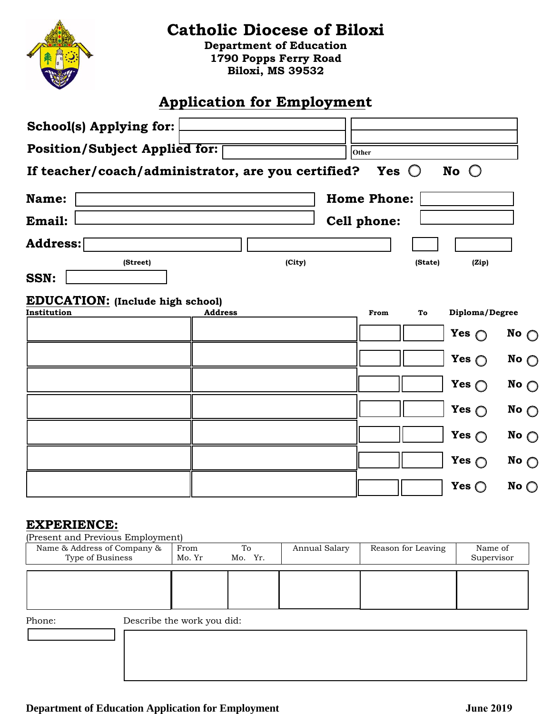

## **Catholic Diocese of Biloxi**

**Department of Education 1790 Popps Ferry Road Biloxi, MS 39532** 

## **Application for Employment**

| School(s) Applying for:                            |                |        |                    |                |               |
|----------------------------------------------------|----------------|--------|--------------------|----------------|---------------|
| Position/Subject Applied for:                      |                |        | Other              |                |               |
| If teacher/coach/administrator, are you certified? |                |        | Yes $\bigcirc$     | No $\bigcirc$  |               |
| Name:                                              |                |        | <b>Home Phone:</b> |                |               |
| Email:                                             |                |        | <b>Cell phone:</b> |                |               |
| Address:                                           |                |        |                    |                |               |
| (Street)<br><b>SSN:</b>                            |                | (City) | (State)            | (Zip)          |               |
| <b>EDUCATION:</b> (Include high school)            |                |        |                    |                |               |
| Institution                                        | <b>Address</b> |        | From<br>To         | Diploma/Degree |               |
|                                                    |                |        |                    | Yes $\bigcap$  | No $\bigcirc$ |
|                                                    |                |        |                    | Yes $\bigcirc$ | No $\bigcirc$ |
|                                                    |                |        |                    | Yes $\bigcirc$ | No $\bigcirc$ |
|                                                    |                |        |                    | Yes $\bigcirc$ | No $\bigcirc$ |
|                                                    |                |        |                    | Yes $\bigcirc$ | No $\bigcirc$ |
|                                                    |                |        |                    | Yes $\bigcirc$ | No $\bigcirc$ |
|                                                    |                |        |                    | Yes $\bigcirc$ | No $\bigcirc$ |

## **EXPERIENCE:**

(Present and Previous Employment)

| Name & Address of Company &<br>Type of Business | From<br>Mo. Yr | To<br>Mo. Yr. | Annual Salary | Reason for Leaving | Name of<br>Supervisor |
|-------------------------------------------------|----------------|---------------|---------------|--------------------|-----------------------|
|                                                 |                |               |               |                    |                       |
|                                                 |                |               |               |                    |                       |

Phone: Describe the work you did: